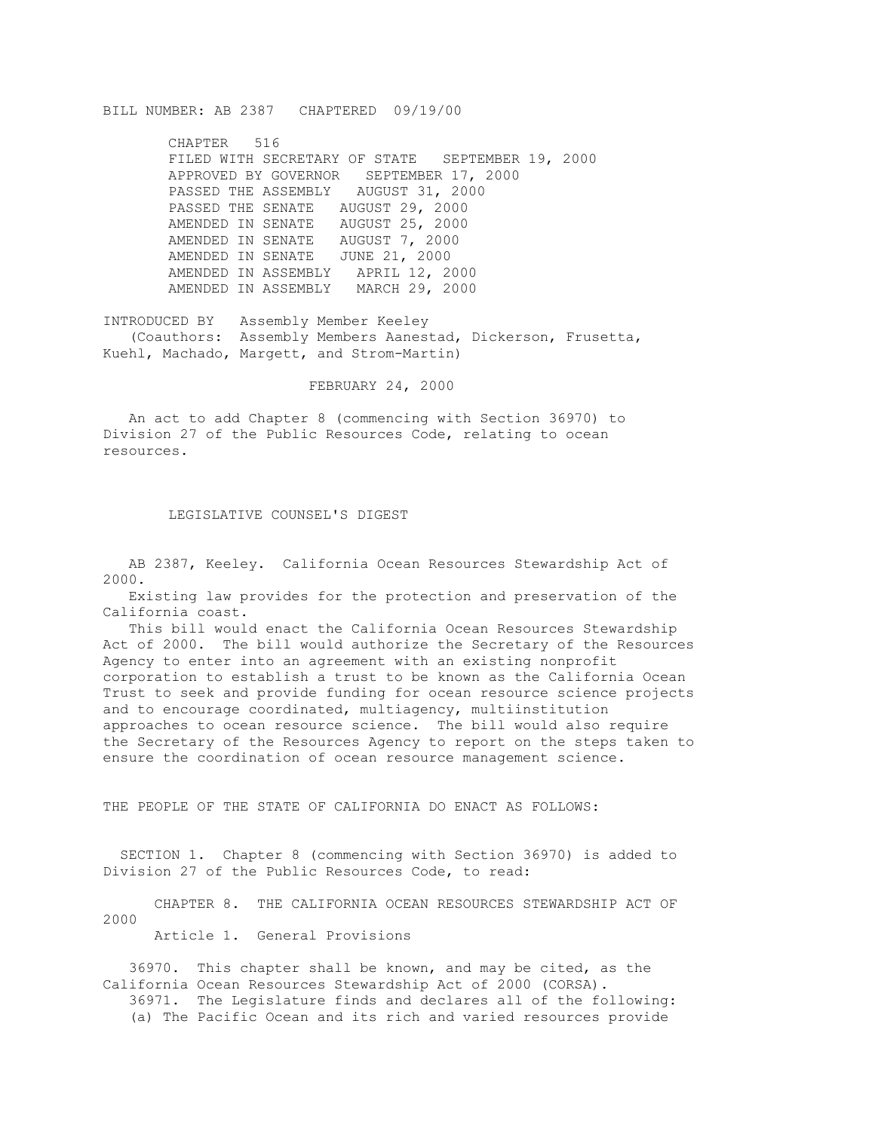## BILL NUMBER: AB 2387 CHAPTERED 09/19/00

CHAPTER 516 FILED WITH SECRETARY OF STATE SEPTEMBER 19, 2000 APPROVED BY GOVERNOR SEPTEMBER 17, 2000 PASSED THE ASSEMBLY AUGUST 31, 2000 PASSED THE SENATE AUGUST 29, 2000 AMENDED IN SENATE AUGUST 25, 2000 AMENDED IN SENATE AUGUST 7, 2000 AMENDED IN SENATE JUNE 21, 2000 AMENDED IN ASSEMBLY APRIL 12, 2000 AMENDED IN ASSEMBLY MARCH 29, 2000

INTRODUCED BY Assembly Member Keeley (Coauthors: Assembly Members Aanestad, Dickerson, Frusetta, Kuehl, Machado, Margett, and Strom-Martin)

FEBRUARY 24, 2000

 An act to add Chapter 8 (commencing with Section 36970) to Division 27 of the Public Resources Code, relating to ocean resources.

## LEGISLATIVE COUNSEL'S DIGEST

 AB 2387, Keeley. California Ocean Resources Stewardship Act of 2000.

 Existing law provides for the protection and preservation of the California coast.

 This bill would enact the California Ocean Resources Stewardship Act of 2000. The bill would authorize the Secretary of the Resources Agency to enter into an agreement with an existing nonprofit corporation to establish a trust to be known as the California Ocean Trust to seek and provide funding for ocean resource science projects and to encourage coordinated, multiagency, multiinstitution approaches to ocean resource science. The bill would also require the Secretary of the Resources Agency to report on the steps taken to ensure the coordination of ocean resource management science.

THE PEOPLE OF THE STATE OF CALIFORNIA DO ENACT AS FOLLOWS:

 SECTION 1. Chapter 8 (commencing with Section 36970) is added to Division 27 of the Public Resources Code, to read:

 CHAPTER 8. THE CALIFORNIA OCEAN RESOURCES STEWARDSHIP ACT OF 2000

Article 1. General Provisions

 36970. This chapter shall be known, and may be cited, as the California Ocean Resources Stewardship Act of 2000 (CORSA). 36971. The Legislature finds and declares all of the following:

(a) The Pacific Ocean and its rich and varied resources provide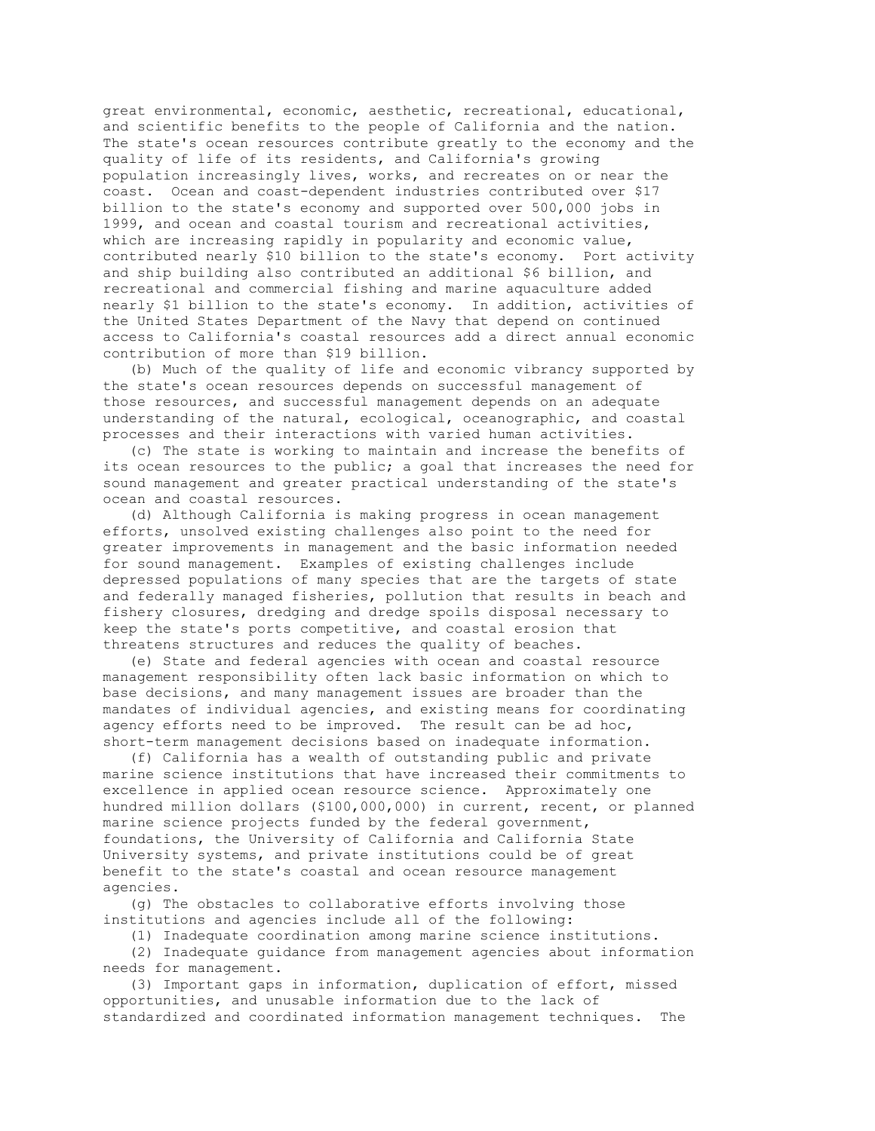great environmental, economic, aesthetic, recreational, educational, and scientific benefits to the people of California and the nation. The state's ocean resources contribute greatly to the economy and the quality of life of its residents, and California's growing population increasingly lives, works, and recreates on or near the coast. Ocean and coast-dependent industries contributed over \$17 billion to the state's economy and supported over 500,000 jobs in 1999, and ocean and coastal tourism and recreational activities, which are increasing rapidly in popularity and economic value, contributed nearly \$10 billion to the state's economy. Port activity and ship building also contributed an additional \$6 billion, and recreational and commercial fishing and marine aquaculture added nearly \$1 billion to the state's economy. In addition, activities of the United States Department of the Navy that depend on continued access to California's coastal resources add a direct annual economic contribution of more than \$19 billion.

 (b) Much of the quality of life and economic vibrancy supported by the state's ocean resources depends on successful management of those resources, and successful management depends on an adequate understanding of the natural, ecological, oceanographic, and coastal processes and their interactions with varied human activities.

 (c) The state is working to maintain and increase the benefits of its ocean resources to the public; a goal that increases the need for sound management and greater practical understanding of the state's ocean and coastal resources.

 (d) Although California is making progress in ocean management efforts, unsolved existing challenges also point to the need for greater improvements in management and the basic information needed for sound management. Examples of existing challenges include depressed populations of many species that are the targets of state and federally managed fisheries, pollution that results in beach and fishery closures, dredging and dredge spoils disposal necessary to keep the state's ports competitive, and coastal erosion that threatens structures and reduces the quality of beaches.

 (e) State and federal agencies with ocean and coastal resource management responsibility often lack basic information on which to base decisions, and many management issues are broader than the mandates of individual agencies, and existing means for coordinating agency efforts need to be improved. The result can be ad hoc, short-term management decisions based on inadequate information.

 (f) California has a wealth of outstanding public and private marine science institutions that have increased their commitments to excellence in applied ocean resource science. Approximately one hundred million dollars (\$100,000,000) in current, recent, or planned marine science projects funded by the federal government, foundations, the University of California and California State University systems, and private institutions could be of great benefit to the state's coastal and ocean resource management agencies.

 (g) The obstacles to collaborative efforts involving those institutions and agencies include all of the following:

 (1) Inadequate coordination among marine science institutions. (2) Inadequate guidance from management agencies about information

needs for management.

 (3) Important gaps in information, duplication of effort, missed opportunities, and unusable information due to the lack of standardized and coordinated information management techniques. The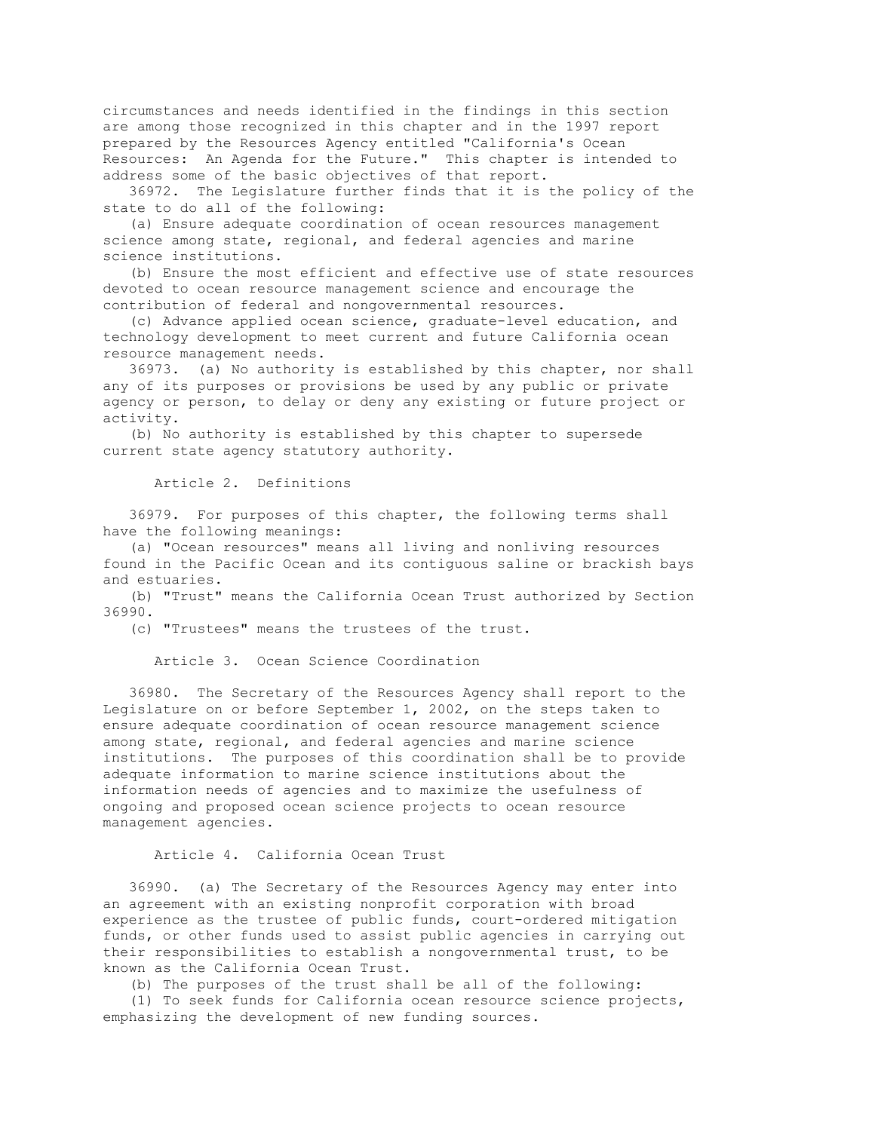circumstances and needs identified in the findings in this section are among those recognized in this chapter and in the 1997 report prepared by the Resources Agency entitled "California's Ocean Resources: An Agenda for the Future." This chapter is intended to address some of the basic objectives of that report.

 36972. The Legislature further finds that it is the policy of the state to do all of the following:

 (a) Ensure adequate coordination of ocean resources management science among state, regional, and federal agencies and marine science institutions.

 (b) Ensure the most efficient and effective use of state resources devoted to ocean resource management science and encourage the contribution of federal and nongovernmental resources.

 (c) Advance applied ocean science, graduate-level education, and technology development to meet current and future California ocean resource management needs.

 36973. (a) No authority is established by this chapter, nor shall any of its purposes or provisions be used by any public or private agency or person, to delay or deny any existing or future project or activity.

 (b) No authority is established by this chapter to supersede current state agency statutory authority.

Article 2. Definitions

 36979. For purposes of this chapter, the following terms shall have the following meanings:

 (a) "Ocean resources" means all living and nonliving resources found in the Pacific Ocean and its contiguous saline or brackish bays and estuaries.

 (b) "Trust" means the California Ocean Trust authorized by Section 36990.

(c) "Trustees" means the trustees of the trust.

Article 3. Ocean Science Coordination

 36980. The Secretary of the Resources Agency shall report to the Legislature on or before September 1, 2002, on the steps taken to ensure adequate coordination of ocean resource management science among state, regional, and federal agencies and marine science institutions. The purposes of this coordination shall be to provide adequate information to marine science institutions about the information needs of agencies and to maximize the usefulness of ongoing and proposed ocean science projects to ocean resource management agencies.

Article 4. California Ocean Trust

 36990. (a) The Secretary of the Resources Agency may enter into an agreement with an existing nonprofit corporation with broad experience as the trustee of public funds, court-ordered mitigation funds, or other funds used to assist public agencies in carrying out their responsibilities to establish a nongovernmental trust, to be known as the California Ocean Trust.

(b) The purposes of the trust shall be all of the following:

 (1) To seek funds for California ocean resource science projects, emphasizing the development of new funding sources.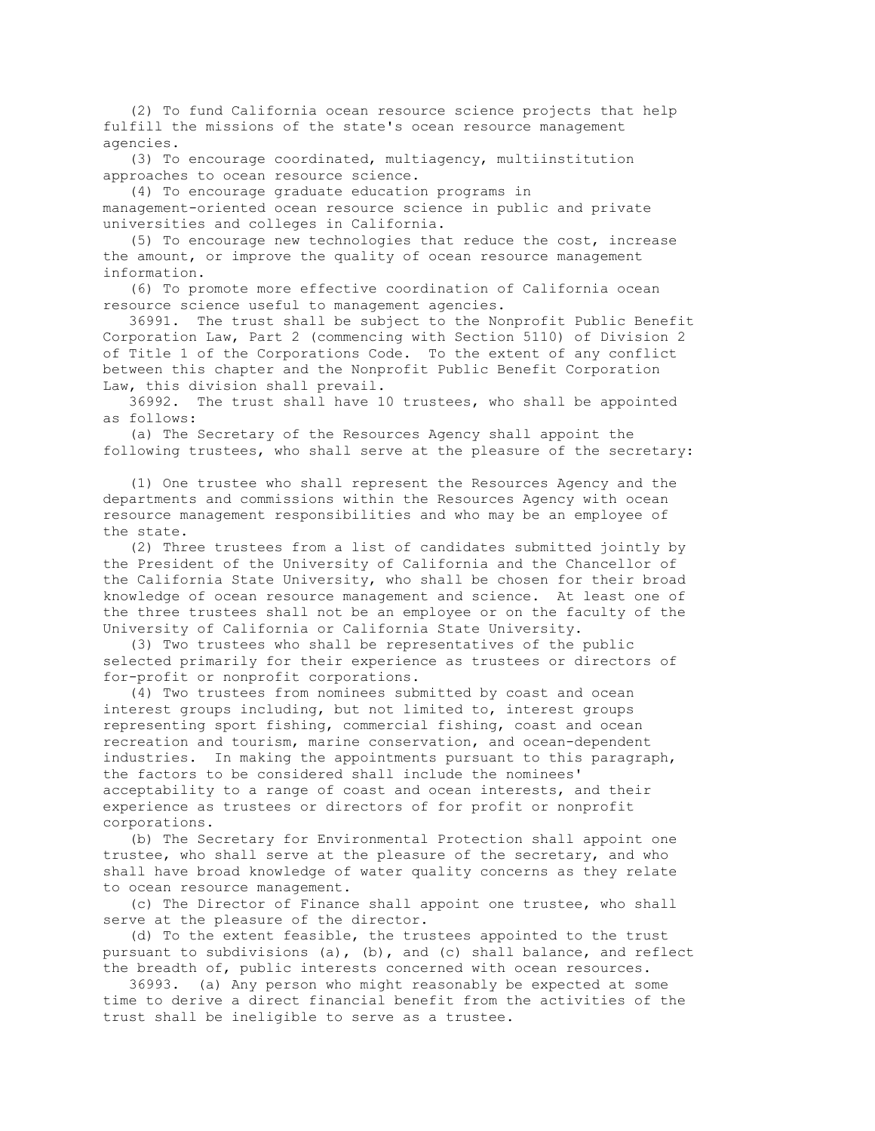(2) To fund California ocean resource science projects that help fulfill the missions of the state's ocean resource management agencies.

 (3) To encourage coordinated, multiagency, multiinstitution approaches to ocean resource science.

 (4) To encourage graduate education programs in management-oriented ocean resource science in public and private universities and colleges in California.

 (5) To encourage new technologies that reduce the cost, increase the amount, or improve the quality of ocean resource management information.

 (6) To promote more effective coordination of California ocean resource science useful to management agencies.

 36991. The trust shall be subject to the Nonprofit Public Benefit Corporation Law, Part 2 (commencing with Section 5110) of Division 2 of Title 1 of the Corporations Code. To the extent of any conflict between this chapter and the Nonprofit Public Benefit Corporation Law, this division shall prevail.

 36992. The trust shall have 10 trustees, who shall be appointed as follows:

 (a) The Secretary of the Resources Agency shall appoint the following trustees, who shall serve at the pleasure of the secretary:

 (1) One trustee who shall represent the Resources Agency and the departments and commissions within the Resources Agency with ocean resource management responsibilities and who may be an employee of the state.

 (2) Three trustees from a list of candidates submitted jointly by the President of the University of California and the Chancellor of the California State University, who shall be chosen for their broad knowledge of ocean resource management and science. At least one of the three trustees shall not be an employee or on the faculty of the University of California or California State University.

 (3) Two trustees who shall be representatives of the public selected primarily for their experience as trustees or directors of for-profit or nonprofit corporations.

 (4) Two trustees from nominees submitted by coast and ocean interest groups including, but not limited to, interest groups representing sport fishing, commercial fishing, coast and ocean recreation and tourism, marine conservation, and ocean-dependent industries. In making the appointments pursuant to this paragraph, the factors to be considered shall include the nominees' acceptability to a range of coast and ocean interests, and their experience as trustees or directors of for profit or nonprofit corporations.

 (b) The Secretary for Environmental Protection shall appoint one trustee, who shall serve at the pleasure of the secretary, and who shall have broad knowledge of water quality concerns as they relate to ocean resource management.

 (c) The Director of Finance shall appoint one trustee, who shall serve at the pleasure of the director.

 (d) To the extent feasible, the trustees appointed to the trust pursuant to subdivisions (a), (b), and (c) shall balance, and reflect the breadth of, public interests concerned with ocean resources.

 36993. (a) Any person who might reasonably be expected at some time to derive a direct financial benefit from the activities of the trust shall be ineligible to serve as a trustee.